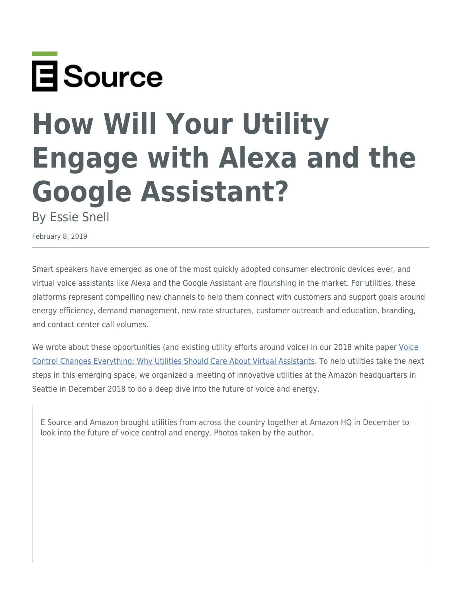

# **How Will Your Utility Engage with Alexa and the Google Assistant?**

By Essie Snell

February 8, 2019

Smart speakers have emerged as one of the most quickly adopted consumer electronic devices ever, and virtual voice assistants like Alexa and the Google Assistant are flourishing in the market. For utilities, these platforms represent compelling new channels to help them connect with customers and support goals around energy efficiency, demand management, new rate structures, customer outreach and education, branding, and contact center call volumes.

We wrote about these opportunities (and existing utility efforts around voice) in our 2018 white paper [Voice](https://www.esource.com/10059-001/voice-control-changes-everything-why-utilities-should-care-about-virtual-assistants) [Control Changes Everything: Why Utilities Should Care About Virtual Assistants](https://www.esource.com/10059-001/voice-control-changes-everything-why-utilities-should-care-about-virtual-assistants). To help utilities take the next steps in this emerging space, we organized a meeting of innovative utilities at the Amazon headquarters in Seattle in December 2018 to do a deep dive into the future of voice and energy.

E Source and Amazon brought utilities from across the country together at Amazon HQ in December to look into the future of voice control and energy. Photos taken by the author.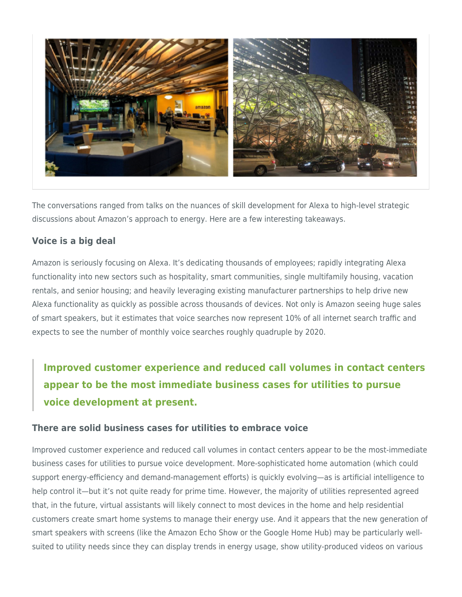

The conversations ranged from talks on the nuances of skill development for Alexa to high-level strategic discussions about Amazon's approach to energy. Here are a few interesting takeaways.

## **Voice is a big deal**

Amazon is seriously focusing on Alexa. It's dedicating thousands of employees; rapidly integrating Alexa functionality into new sectors such as hospitality, smart communities, single multifamily housing, vacation rentals, and senior housing; and heavily leveraging existing manufacturer partnerships to help drive new Alexa functionality as quickly as possible across thousands of devices. Not only is Amazon seeing huge sales of smart speakers, but it estimates that voice searches now represent 10% of all internet search traffic and expects to see the number of monthly voice searches roughly quadruple by 2020.

**Improved customer experience and reduced call volumes in contact centers appear to be the most immediate business cases for utilities to pursue voice development at present.**

#### **There are solid business cases for utilities to embrace voice**

Improved customer experience and reduced call volumes in contact centers appear to be the most-immediate business cases for utilities to pursue voice development. More-sophisticated home automation (which could support energy-efficiency and demand-management efforts) is quickly evolving—as is artificial intelligence to help control it—but it's not quite ready for prime time. However, the majority of utilities represented agreed that, in the future, virtual assistants will likely connect to most devices in the home and help residential customers create smart home systems to manage their energy use. And it appears that the new generation of smart speakers with screens (like the Amazon Echo Show or the Google Home Hub) may be particularly wellsuited to utility needs since they can display trends in energy usage, show utility-produced videos on various